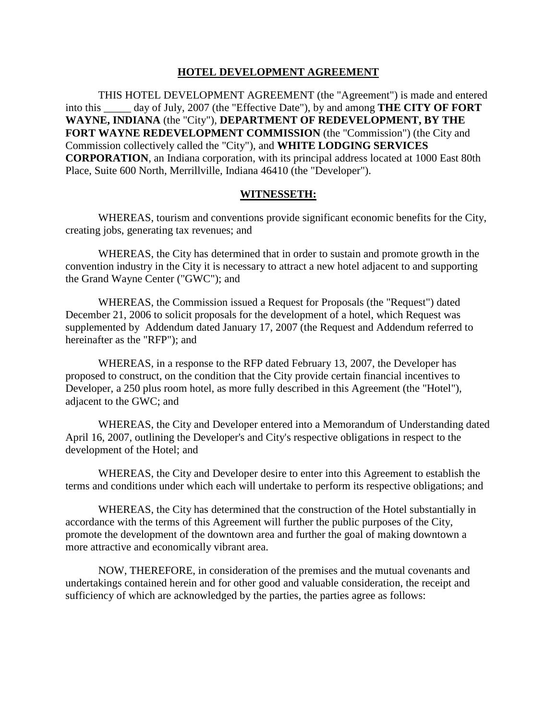#### **HOTEL DEVELOPMENT AGREEMENT**

THIS HOTEL DEVELOPMENT AGREEMENT (the "Agreement") is made and entered into this \_\_\_\_\_ day of July, 2007 (the "Effective Date"), by and among **THE CITY OF FORT WAYNE, INDIANA** (the "City"), **DEPARTMENT OF REDEVELOPMENT, BY THE FORT WAYNE REDEVELOPMENT COMMISSION** (the "Commission") (the City and Commission collectively called the "City"), and **WHITE LODGING SERVICES CORPORATION**, an Indiana corporation, with its principal address located at 1000 East 80th Place, Suite 600 North, Merrillville, Indiana 46410 (the "Developer").

#### **WITNESSETH:**

WHEREAS, tourism and conventions provide significant economic benefits for the City, creating jobs, generating tax revenues; and

WHEREAS, the City has determined that in order to sustain and promote growth in the convention industry in the City it is necessary to attract a new hotel adjacent to and supporting the Grand Wayne Center ("GWC"); and

WHEREAS, the Commission issued a Request for Proposals (the "Request") dated December 21, 2006 to solicit proposals for the development of a hotel, which Request was supplemented by Addendum dated January 17, 2007 (the Request and Addendum referred to hereinafter as the "RFP"); and

WHEREAS, in a response to the RFP dated February 13, 2007, the Developer has proposed to construct, on the condition that the City provide certain financial incentives to Developer, a 250 plus room hotel, as more fully described in this Agreement (the "Hotel"), adjacent to the GWC; and

WHEREAS, the City and Developer entered into a Memorandum of Understanding dated April 16, 2007, outlining the Developer's and City's respective obligations in respect to the development of the Hotel; and

WHEREAS, the City and Developer desire to enter into this Agreement to establish the terms and conditions under which each will undertake to perform its respective obligations; and

WHEREAS, the City has determined that the construction of the Hotel substantially in accordance with the terms of this Agreement will further the public purposes of the City, promote the development of the downtown area and further the goal of making downtown a more attractive and economically vibrant area.

NOW, THEREFORE, in consideration of the premises and the mutual covenants and undertakings contained herein and for other good and valuable consideration, the receipt and sufficiency of which are acknowledged by the parties, the parties agree as follows: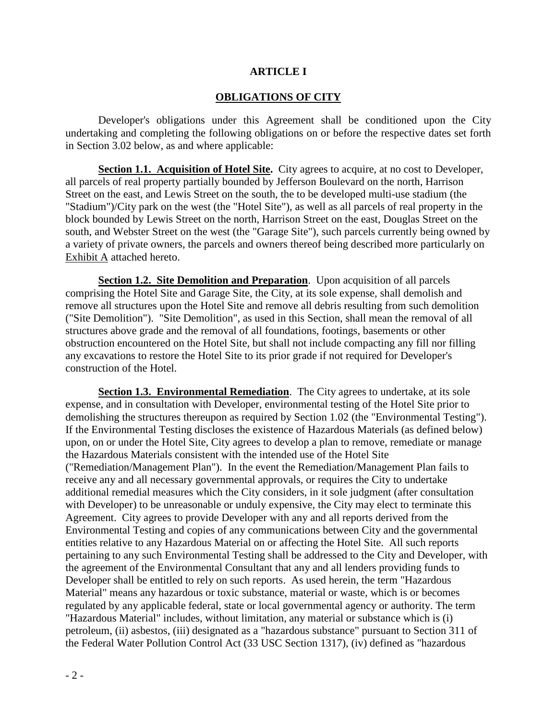#### **ARTICLE I**

#### **OBLIGATIONS OF CITY**

Developer's obligations under this Agreement shall be conditioned upon the City undertaking and completing the following obligations on or before the respective dates set forth in Section 3.02 below, as and where applicable:

**Section 1.1. Acquisition of Hotel Site.** City agrees to acquire, at no cost to Developer, all parcels of real property partially bounded by Jefferson Boulevard on the north, Harrison Street on the east, and Lewis Street on the south, the to be developed multi-use stadium (the "Stadium")/City park on the west (the "Hotel Site"), as well as all parcels of real property in the block bounded by Lewis Street on the north, Harrison Street on the east, Douglas Street on the south, and Webster Street on the west (the "Garage Site"), such parcels currently being owned by a variety of private owners, the parcels and owners thereof being described more particularly on Exhibit A attached hereto.

**Section 1.2. Site Demolition and Preparation**. Upon acquisition of all parcels comprising the Hotel Site and Garage Site, the City, at its sole expense, shall demolish and remove all structures upon the Hotel Site and remove all debris resulting from such demolition ("Site Demolition"). "Site Demolition", as used in this Section, shall mean the removal of all structures above grade and the removal of all foundations, footings, basements or other obstruction encountered on the Hotel Site, but shall not include compacting any fill nor filling any excavations to restore the Hotel Site to its prior grade if not required for Developer's construction of the Hotel.

**Section 1.3. Environmental Remediation**. The City agrees to undertake, at its sole expense, and in consultation with Developer, environmental testing of the Hotel Site prior to demolishing the structures thereupon as required by Section 1.02 (the "Environmental Testing"). If the Environmental Testing discloses the existence of Hazardous Materials (as defined below) upon, on or under the Hotel Site, City agrees to develop a plan to remove, remediate or manage the Hazardous Materials consistent with the intended use of the Hotel Site ("Remediation/Management Plan"). In the event the Remediation/Management Plan fails to receive any and all necessary governmental approvals, or requires the City to undertake additional remedial measures which the City considers, in it sole judgment (after consultation with Developer) to be unreasonable or unduly expensive, the City may elect to terminate this Agreement. City agrees to provide Developer with any and all reports derived from the Environmental Testing and copies of any communications between City and the governmental entities relative to any Hazardous Material on or affecting the Hotel Site. All such reports pertaining to any such Environmental Testing shall be addressed to the City and Developer, with the agreement of the Environmental Consultant that any and all lenders providing funds to Developer shall be entitled to rely on such reports. As used herein, the term "Hazardous Material" means any hazardous or toxic substance, material or waste, which is or becomes regulated by any applicable federal, state or local governmental agency or authority. The term "Hazardous Material" includes, without limitation, any material or substance which is (i) petroleum, (ii) asbestos, (iii) designated as a "hazardous substance" pursuant to Section 311 of the Federal Water Pollution Control Act (33 USC Section 1317), (iv) defined as "hazardous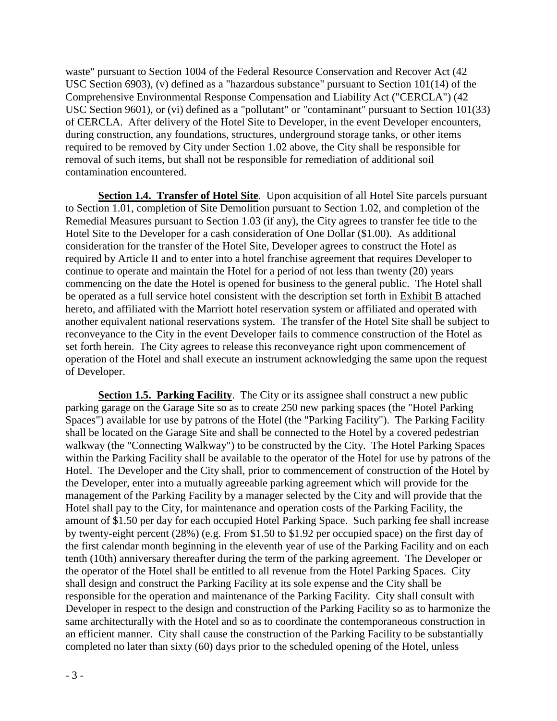waste" pursuant to Section 1004 of the Federal Resource Conservation and Recover Act (42 USC Section 6903), (v) defined as a "hazardous substance" pursuant to Section 101(14) of the Comprehensive Environmental Response Compensation and Liability Act ("CERCLA") (42 USC Section 9601), or (vi) defined as a "pollutant" or "contaminant" pursuant to Section 101(33) of CERCLA. After delivery of the Hotel Site to Developer, in the event Developer encounters, during construction, any foundations, structures, underground storage tanks, or other items required to be removed by City under Section 1.02 above, the City shall be responsible for removal of such items, but shall not be responsible for remediation of additional soil contamination encountered.

**Section 1.4. Transfer of Hotel Site**. Upon acquisition of all Hotel Site parcels pursuant to Section 1.01, completion of Site Demolition pursuant to Section 1.02, and completion of the Remedial Measures pursuant to Section 1.03 (if any), the City agrees to transfer fee title to the Hotel Site to the Developer for a cash consideration of One Dollar (\$1.00). As additional consideration for the transfer of the Hotel Site, Developer agrees to construct the Hotel as required by Article II and to enter into a hotel franchise agreement that requires Developer to continue to operate and maintain the Hotel for a period of not less than twenty (20) years commencing on the date the Hotel is opened for business to the general public. The Hotel shall be operated as a full service hotel consistent with the description set forth in Exhibit B attached hereto, and affiliated with the Marriott hotel reservation system or affiliated and operated with another equivalent national reservations system. The transfer of the Hotel Site shall be subject to reconveyance to the City in the event Developer fails to commence construction of the Hotel as set forth herein. The City agrees to release this reconveyance right upon commencement of operation of the Hotel and shall execute an instrument acknowledging the same upon the request of Developer.

**Section 1.5. Parking Facility.** The City or its assignee shall construct a new public parking garage on the Garage Site so as to create 250 new parking spaces (the "Hotel Parking Spaces") available for use by patrons of the Hotel (the "Parking Facility"). The Parking Facility shall be located on the Garage Site and shall be connected to the Hotel by a covered pedestrian walkway (the "Connecting Walkway") to be constructed by the City. The Hotel Parking Spaces within the Parking Facility shall be available to the operator of the Hotel for use by patrons of the Hotel. The Developer and the City shall, prior to commencement of construction of the Hotel by the Developer, enter into a mutually agreeable parking agreement which will provide for the management of the Parking Facility by a manager selected by the City and will provide that the Hotel shall pay to the City, for maintenance and operation costs of the Parking Facility, the amount of \$1.50 per day for each occupied Hotel Parking Space. Such parking fee shall increase by twenty-eight percent (28%) (e.g. From \$1.50 to \$1.92 per occupied space) on the first day of the first calendar month beginning in the eleventh year of use of the Parking Facility and on each tenth (10th) anniversary thereafter during the term of the parking agreement. The Developer or the operator of the Hotel shall be entitled to all revenue from the Hotel Parking Spaces. City shall design and construct the Parking Facility at its sole expense and the City shall be responsible for the operation and maintenance of the Parking Facility. City shall consult with Developer in respect to the design and construction of the Parking Facility so as to harmonize the same architecturally with the Hotel and so as to coordinate the contemporaneous construction in an efficient manner. City shall cause the construction of the Parking Facility to be substantially completed no later than sixty (60) days prior to the scheduled opening of the Hotel, unless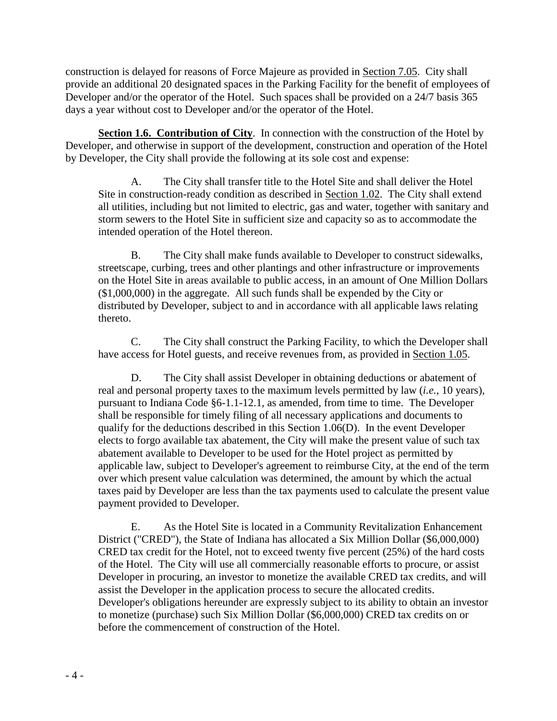construction is delayed for reasons of Force Majeure as provided in Section 7.05. City shall provide an additional 20 designated spaces in the Parking Facility for the benefit of employees of Developer and/or the operator of the Hotel. Such spaces shall be provided on a 24/7 basis 365 days a year without cost to Developer and/or the operator of the Hotel.

**Section 1.6. Contribution of City**. In connection with the construction of the Hotel by Developer, and otherwise in support of the development, construction and operation of the Hotel by Developer, the City shall provide the following at its sole cost and expense:

A. The City shall transfer title to the Hotel Site and shall deliver the Hotel Site in construction-ready condition as described in Section 1.02. The City shall extend all utilities, including but not limited to electric, gas and water, together with sanitary and storm sewers to the Hotel Site in sufficient size and capacity so as to accommodate the intended operation of the Hotel thereon.

B. The City shall make funds available to Developer to construct sidewalks, streetscape, curbing, trees and other plantings and other infrastructure or improvements on the Hotel Site in areas available to public access, in an amount of One Million Dollars (\$1,000,000) in the aggregate. All such funds shall be expended by the City or distributed by Developer, subject to and in accordance with all applicable laws relating thereto.

C. The City shall construct the Parking Facility, to which the Developer shall have access for Hotel guests, and receive revenues from, as provided in Section 1.05.

D. The City shall assist Developer in obtaining deductions or abatement of real and personal property taxes to the maximum levels permitted by law (*i.e.*, 10 years), pursuant to Indiana Code §6-1.1-12.1, as amended, from time to time. The Developer shall be responsible for timely filing of all necessary applications and documents to qualify for the deductions described in this Section 1.06(D). In the event Developer elects to forgo available tax abatement, the City will make the present value of such tax abatement available to Developer to be used for the Hotel project as permitted by applicable law, subject to Developer's agreement to reimburse City, at the end of the term over which present value calculation was determined, the amount by which the actual taxes paid by Developer are less than the tax payments used to calculate the present value payment provided to Developer.

E. As the Hotel Site is located in a Community Revitalization Enhancement District ("CRED"), the State of Indiana has allocated a Six Million Dollar (\$6,000,000) CRED tax credit for the Hotel, not to exceed twenty five percent (25%) of the hard costs of the Hotel. The City will use all commercially reasonable efforts to procure, or assist Developer in procuring, an investor to monetize the available CRED tax credits, and will assist the Developer in the application process to secure the allocated credits. Developer's obligations hereunder are expressly subject to its ability to obtain an investor to monetize (purchase) such Six Million Dollar (\$6,000,000) CRED tax credits on or before the commencement of construction of the Hotel.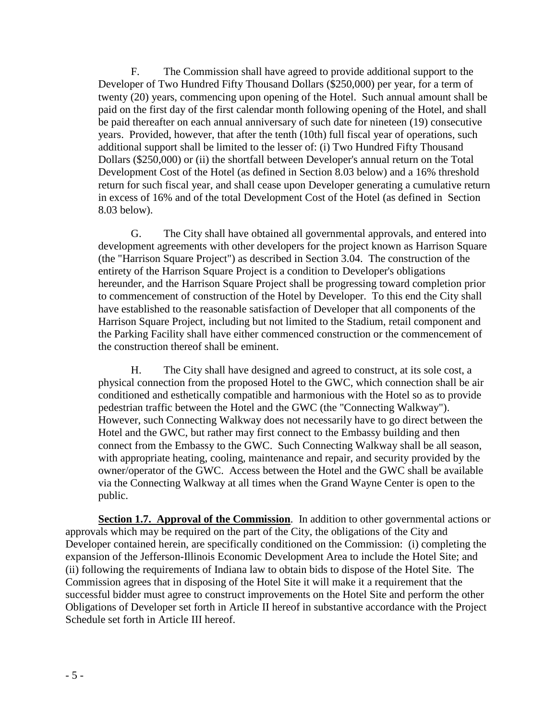F. The Commission shall have agreed to provide additional support to the Developer of Two Hundred Fifty Thousand Dollars (\$250,000) per year, for a term of twenty (20) years, commencing upon opening of the Hotel. Such annual amount shall be paid on the first day of the first calendar month following opening of the Hotel, and shall be paid thereafter on each annual anniversary of such date for nineteen (19) consecutive years. Provided, however, that after the tenth (10th) full fiscal year of operations, such additional support shall be limited to the lesser of: (i) Two Hundred Fifty Thousand Dollars (\$250,000) or (ii) the shortfall between Developer's annual return on the Total Development Cost of the Hotel (as defined in Section 8.03 below) and a 16% threshold return for such fiscal year, and shall cease upon Developer generating a cumulative return in excess of 16% and of the total Development Cost of the Hotel (as defined in Section 8.03 below).

G. The City shall have obtained all governmental approvals, and entered into development agreements with other developers for the project known as Harrison Square (the "Harrison Square Project") as described in Section 3.04. The construction of the entirety of the Harrison Square Project is a condition to Developer's obligations hereunder, and the Harrison Square Project shall be progressing toward completion prior to commencement of construction of the Hotel by Developer. To this end the City shall have established to the reasonable satisfaction of Developer that all components of the Harrison Square Project, including but not limited to the Stadium, retail component and the Parking Facility shall have either commenced construction or the commencement of the construction thereof shall be eminent.

H. The City shall have designed and agreed to construct, at its sole cost, a physical connection from the proposed Hotel to the GWC, which connection shall be air conditioned and esthetically compatible and harmonious with the Hotel so as to provide pedestrian traffic between the Hotel and the GWC (the "Connecting Walkway"). However, such Connecting Walkway does not necessarily have to go direct between the Hotel and the GWC, but rather may first connect to the Embassy building and then connect from the Embassy to the GWC. Such Connecting Walkway shall be all season, with appropriate heating, cooling, maintenance and repair, and security provided by the owner/operator of the GWC. Access between the Hotel and the GWC shall be available via the Connecting Walkway at all times when the Grand Wayne Center is open to the public.

**Section 1.7. Approval of the Commission**. In addition to other governmental actions or approvals which may be required on the part of the City, the obligations of the City and Developer contained herein, are specifically conditioned on the Commission: (i) completing the expansion of the Jefferson-Illinois Economic Development Area to include the Hotel Site; and (ii) following the requirements of Indiana law to obtain bids to dispose of the Hotel Site. The Commission agrees that in disposing of the Hotel Site it will make it a requirement that the successful bidder must agree to construct improvements on the Hotel Site and perform the other Obligations of Developer set forth in Article II hereof in substantive accordance with the Project Schedule set forth in Article III hereof.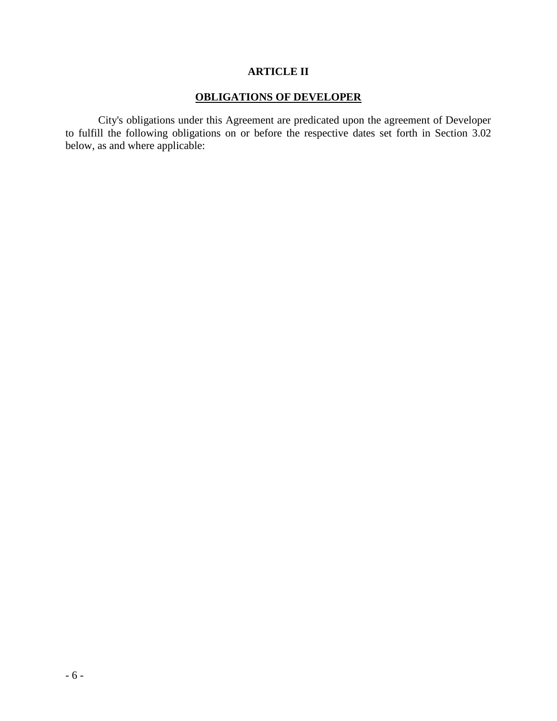## **ARTICLE II**

## **OBLIGATIONS OF DEVELOPER**

City's obligations under this Agreement are predicated upon the agreement of Developer to fulfill the following obligations on or before the respective dates set forth in Section 3.02 below, as and where applicable: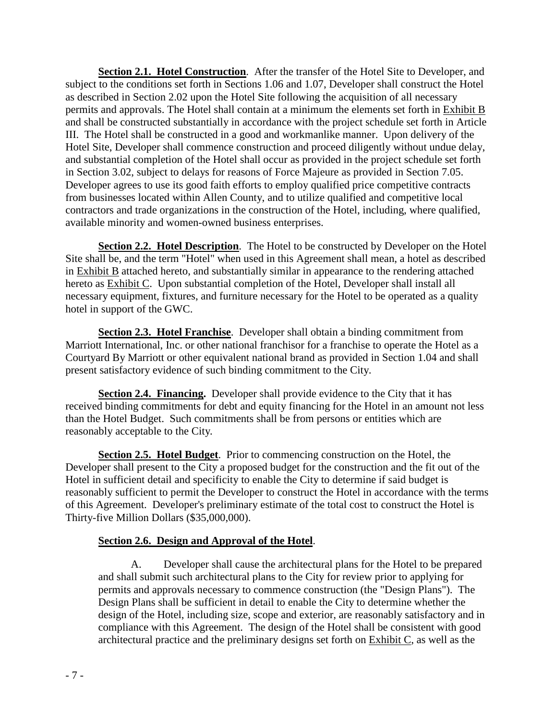**Section 2.1. Hotel Construction**. After the transfer of the Hotel Site to Developer, and subject to the conditions set forth in Sections 1.06 and 1.07, Developer shall construct the Hotel as described in Section 2.02 upon the Hotel Site following the acquisition of all necessary permits and approvals. The Hotel shall contain at a minimum the elements set forth in Exhibit B and shall be constructed substantially in accordance with the project schedule set forth in Article III. The Hotel shall be constructed in a good and workmanlike manner. Upon delivery of the Hotel Site, Developer shall commence construction and proceed diligently without undue delay, and substantial completion of the Hotel shall occur as provided in the project schedule set forth in Section 3.02, subject to delays for reasons of Force Majeure as provided in Section 7.05. Developer agrees to use its good faith efforts to employ qualified price competitive contracts from businesses located within Allen County, and to utilize qualified and competitive local contractors and trade organizations in the construction of the Hotel, including, where qualified, available minority and women-owned business enterprises.

**Section 2.2. Hotel Description**. The Hotel to be constructed by Developer on the Hotel Site shall be, and the term "Hotel" when used in this Agreement shall mean, a hotel as described in Exhibit B attached hereto, and substantially similar in appearance to the rendering attached hereto as **Exhibit C**. Upon substantial completion of the Hotel, Developer shall install all necessary equipment, fixtures, and furniture necessary for the Hotel to be operated as a quality hotel in support of the GWC.

**Section 2.3. Hotel Franchise**. Developer shall obtain a binding commitment from Marriott International, Inc. or other national franchisor for a franchise to operate the Hotel as a Courtyard By Marriott or other equivalent national brand as provided in Section 1.04 and shall present satisfactory evidence of such binding commitment to the City.

**Section 2.4. Financing.** Developer shall provide evidence to the City that it has received binding commitments for debt and equity financing for the Hotel in an amount not less than the Hotel Budget. Such commitments shall be from persons or entities which are reasonably acceptable to the City*.* 

**Section 2.5. Hotel Budget**. Prior to commencing construction on the Hotel, the Developer shall present to the City a proposed budget for the construction and the fit out of the Hotel in sufficient detail and specificity to enable the City to determine if said budget is reasonably sufficient to permit the Developer to construct the Hotel in accordance with the terms of this Agreement. Developer's preliminary estimate of the total cost to construct the Hotel is Thirty-five Million Dollars (\$35,000,000).

## **Section 2.6. Design and Approval of the Hotel**.

A. Developer shall cause the architectural plans for the Hotel to be prepared and shall submit such architectural plans to the City for review prior to applying for permits and approvals necessary to commence construction (the "Design Plans"). The Design Plans shall be sufficient in detail to enable the City to determine whether the design of the Hotel, including size, scope and exterior, are reasonably satisfactory and in compliance with this Agreement. The design of the Hotel shall be consistent with good architectural practice and the preliminary designs set forth on Exhibit C, as well as the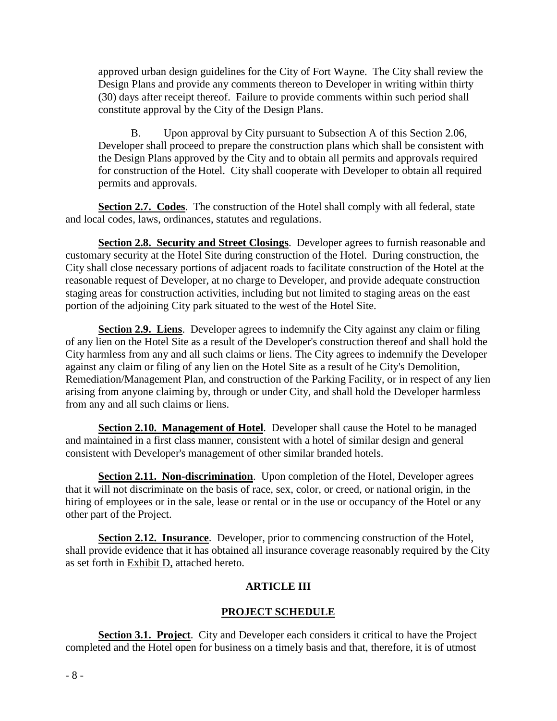approved urban design guidelines for the City of Fort Wayne. The City shall review the Design Plans and provide any comments thereon to Developer in writing within thirty (30) days after receipt thereof. Failure to provide comments within such period shall constitute approval by the City of the Design Plans.

B. Upon approval by City pursuant to Subsection A of this Section 2.06, Developer shall proceed to prepare the construction plans which shall be consistent with the Design Plans approved by the City and to obtain all permits and approvals required for construction of the Hotel. City shall cooperate with Developer to obtain all required permits and approvals.

**Section 2.7. Codes**. The construction of the Hotel shall comply with all federal, state and local codes, laws, ordinances, statutes and regulations.

**Section 2.8. Security and Street Closings**. Developer agrees to furnish reasonable and customary security at the Hotel Site during construction of the Hotel. During construction, the City shall close necessary portions of adjacent roads to facilitate construction of the Hotel at the reasonable request of Developer, at no charge to Developer, and provide adequate construction staging areas for construction activities, including but not limited to staging areas on the east portion of the adjoining City park situated to the west of the Hotel Site.

**Section 2.9. Liens**. Developer agrees to indemnify the City against any claim or filing of any lien on the Hotel Site as a result of the Developer's construction thereof and shall hold the City harmless from any and all such claims or liens. The City agrees to indemnify the Developer against any claim or filing of any lien on the Hotel Site as a result of he City's Demolition, Remediation/Management Plan, and construction of the Parking Facility, or in respect of any lien arising from anyone claiming by, through or under City, and shall hold the Developer harmless from any and all such claims or liens.

**Section 2.10. Management of Hotel.** Developer shall cause the Hotel to be managed and maintained in a first class manner, consistent with a hotel of similar design and general consistent with Developer's management of other similar branded hotels.

**Section 2.11. Non-discrimination**.Upon completion of the Hotel, Developer agrees that it will not discriminate on the basis of race, sex, color, or creed, or national origin, in the hiring of employees or in the sale, lease or rental or in the use or occupancy of the Hotel or any other part of the Project.

**Section 2.12. Insurance**. Developer, prior to commencing construction of the Hotel, shall provide evidence that it has obtained all insurance coverage reasonably required by the City as set forth in Exhibit D, attached hereto.

## **ARTICLE III**

## **PROJECT SCHEDULE**

**Section 3.1. Project**. City and Developer each considers it critical to have the Project completed and the Hotel open for business on a timely basis and that, therefore, it is of utmost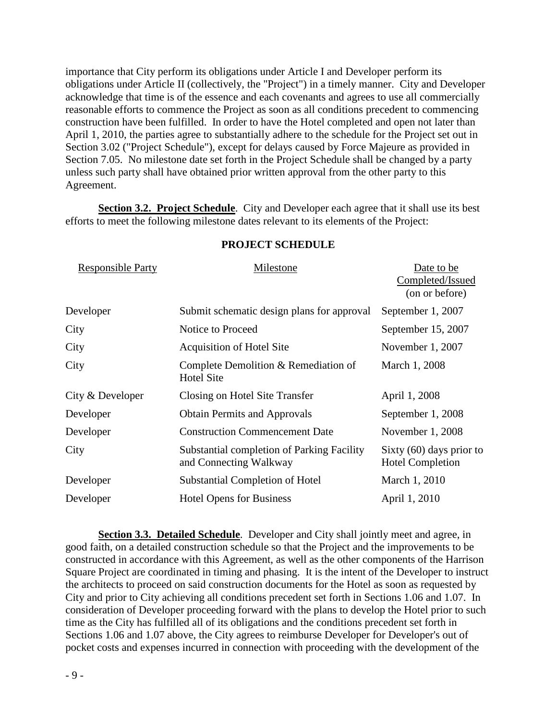importance that City perform its obligations under Article I and Developer perform its obligations under Article II (collectively, the "Project") in a timely manner. City and Developer acknowledge that time is of the essence and each covenants and agrees to use all commercially reasonable efforts to commence the Project as soon as all conditions precedent to commencing construction have been fulfilled. In order to have the Hotel completed and open not later than April 1, 2010, the parties agree to substantially adhere to the schedule for the Project set out in Section 3.02 ("Project Schedule"), except for delays caused by Force Majeure as provided in Section 7.05. No milestone date set forth in the Project Schedule shall be changed by a party unless such party shall have obtained prior written approval from the other party to this Agreement.

**Section 3.2. Project Schedule**.City and Developer each agree that it shall use its best efforts to meet the following milestone dates relevant to its elements of the Project:

| <b>Responsible Party</b> | Milestone                                                            | Date to be<br>Completed/Issued<br>(on or before)      |
|--------------------------|----------------------------------------------------------------------|-------------------------------------------------------|
| Developer                | Submit schematic design plans for approval                           | September 1, 2007                                     |
| City                     | Notice to Proceed                                                    | September 15, 2007                                    |
| City                     | <b>Acquisition of Hotel Site</b>                                     | November 1, 2007                                      |
| City                     | Complete Demolition & Remediation of<br><b>Hotel Site</b>            | March 1, 2008                                         |
| City & Developer         | Closing on Hotel Site Transfer                                       | April 1, 2008                                         |
| Developer                | <b>Obtain Permits and Approvals</b>                                  | September 1, 2008                                     |
| Developer                | <b>Construction Commencement Date</b>                                | November 1, 2008                                      |
| City                     | Substantial completion of Parking Facility<br>and Connecting Walkway | Sixty $(60)$ days prior to<br><b>Hotel Completion</b> |
| Developer                | Substantial Completion of Hotel                                      | March 1, 2010                                         |
| Developer                | <b>Hotel Opens for Business</b>                                      | April 1, 2010                                         |

#### **PROJECT SCHEDULE**

**Section 3.3. Detailed Schedule**. Developer and City shall jointly meet and agree, in good faith, on a detailed construction schedule so that the Project and the improvements to be constructed in accordance with this Agreement, as well as the other components of the Harrison Square Project are coordinated in timing and phasing. It is the intent of the Developer to instruct the architects to proceed on said construction documents for the Hotel as soon as requested by City and prior to City achieving all conditions precedent set forth in Sections 1.06 and 1.07. In consideration of Developer proceeding forward with the plans to develop the Hotel prior to such time as the City has fulfilled all of its obligations and the conditions precedent set forth in Sections 1.06 and 1.07 above, the City agrees to reimburse Developer for Developer's out of pocket costs and expenses incurred in connection with proceeding with the development of the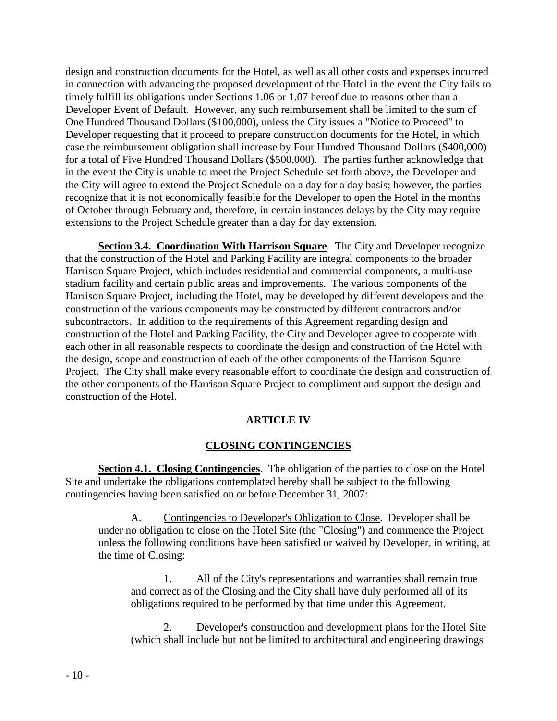design and construction documents for the Hotel, as well as all other costs and expenses incurred in connection with advancing the proposed development of the Hotel in the event the City fails to timely fulfill its obligations under Sections 1.06 or 1.07 hereof due to reasons other than a Developer Event of Default. However, any such reimbursement shall be limited to the sum of One Hundred Thousand Dollars (\$100,000), unless the City issues a "Notice to Proceed" to Developer requesting that it proceed to prepare construction documents for the Hotel, in which case the reimbursement obligation shall increase by Four Hundred Thousand Dollars (\$400,000) for a total of Five Hundred Thousand Dollars (\$500,000). The parties further acknowledge that in the event the City is unable to meet the Project Schedule set forth above, the Developer and the City will agree to extend the Project Schedule on a day for a day basis; however, the parties recognize that it is not economically feasible for the Developer to open the Hotel in the months of October through February and, therefore, in certain instances delays by the City may require extensions to the Project Schedule greater than a day for day extension.

**Section 3.4. Coordination With Harrison Square**. The City and Developer recognize that the construction of the Hotel and Parking Facility are integral components to the broader Harrison Square Project, which includes residential and commercial components, a multi-use stadium facility and certain public areas and improvements. The various components of the Harrison Square Project, including the Hotel, may be developed by different developers and the construction of the various components may be constructed by different contractors and/or subcontractors. In addition to the requirements of this Agreement regarding design and construction of the Hotel and Parking Facility, the City and Developer agree to cooperate with each other in all reasonable respects to coordinate the design and construction of the Hotel with the design, scope and construction of each of the other components of the Harrison Square Project. The City shall make every reasonable effort to coordinate the design and construction of the other components of the Harrison Square Project to compliment and support the design and construction of the Hotel.

## **ARTICLE IV**

## **CLOSING CONTINGENCIES**

**Section 4.1. Closing Contingencies**. The obligation of the parties to close on the Hotel Site and undertake the obligations contemplated hereby shall be subject to the following contingencies having been satisfied on or before December 31, 2007:

A. Contingencies to Developer's Obligation to Close. Developer shall be under no obligation to close on the Hotel Site (the "Closing") and commence the Project unless the following conditions have been satisfied or waived by Developer, in writing, at the time of Closing:

1. All of the City's representations and warranties shall remain true and correct as of the Closing and the City shall have duly performed all of its obligations required to be performed by that time under this Agreement.

2. Developer's construction and development plans for the Hotel Site (which shall include but not be limited to architectural and engineering drawings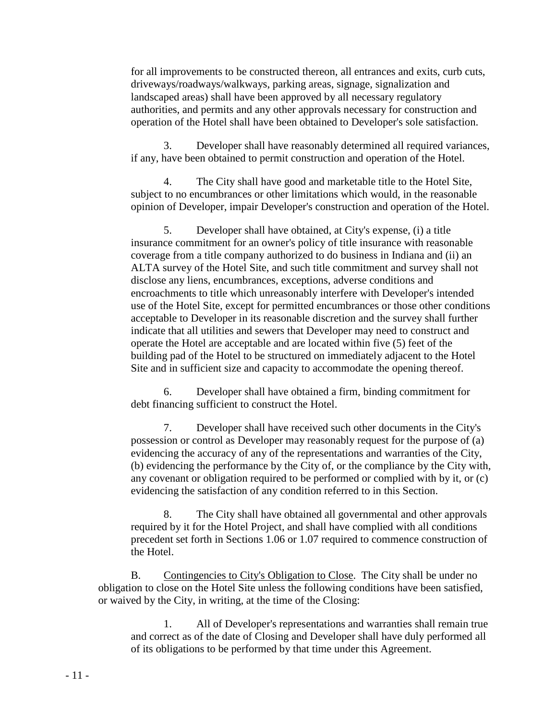for all improvements to be constructed thereon, all entrances and exits, curb cuts, driveways/roadways/walkways, parking areas, signage, signalization and landscaped areas) shall have been approved by all necessary regulatory authorities, and permits and any other approvals necessary for construction and operation of the Hotel shall have been obtained to Developer's sole satisfaction.

3. Developer shall have reasonably determined all required variances, if any, have been obtained to permit construction and operation of the Hotel.

4. The City shall have good and marketable title to the Hotel Site, subject to no encumbrances or other limitations which would, in the reasonable opinion of Developer, impair Developer's construction and operation of the Hotel.

5. Developer shall have obtained, at City's expense, (i) a title insurance commitment for an owner's policy of title insurance with reasonable coverage from a title company authorized to do business in Indiana and (ii) an ALTA survey of the Hotel Site, and such title commitment and survey shall not disclose any liens, encumbrances, exceptions, adverse conditions and encroachments to title which unreasonably interfere with Developer's intended use of the Hotel Site, except for permitted encumbrances or those other conditions acceptable to Developer in its reasonable discretion and the survey shall further indicate that all utilities and sewers that Developer may need to construct and operate the Hotel are acceptable and are located within five (5) feet of the building pad of the Hotel to be structured on immediately adjacent to the Hotel Site and in sufficient size and capacity to accommodate the opening thereof.

6. Developer shall have obtained a firm, binding commitment for debt financing sufficient to construct the Hotel.

7. Developer shall have received such other documents in the City's possession or control as Developer may reasonably request for the purpose of (a) evidencing the accuracy of any of the representations and warranties of the City, (b) evidencing the performance by the City of, or the compliance by the City with, any covenant or obligation required to be performed or complied with by it, or (c) evidencing the satisfaction of any condition referred to in this Section.

8. The City shall have obtained all governmental and other approvals required by it for the Hotel Project, and shall have complied with all conditions precedent set forth in Sections 1.06 or 1.07 required to commence construction of the Hotel.

B. Contingencies to City's Obligation to Close. The City shall be under no obligation to close on the Hotel Site unless the following conditions have been satisfied, or waived by the City, in writing, at the time of the Closing:

1. All of Developer's representations and warranties shall remain true and correct as of the date of Closing and Developer shall have duly performed all of its obligations to be performed by that time under this Agreement.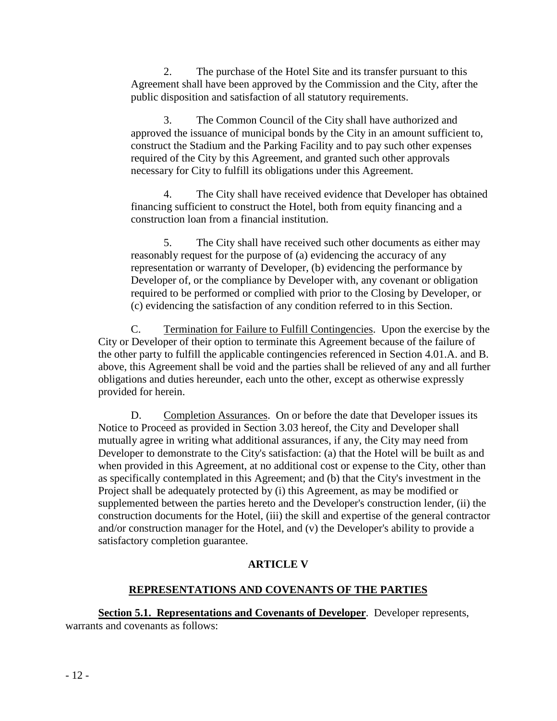2. The purchase of the Hotel Site and its transfer pursuant to this Agreement shall have been approved by the Commission and the City, after the public disposition and satisfaction of all statutory requirements.

3. The Common Council of the City shall have authorized and approved the issuance of municipal bonds by the City in an amount sufficient to, construct the Stadium and the Parking Facility and to pay such other expenses required of the City by this Agreement, and granted such other approvals necessary for City to fulfill its obligations under this Agreement.

4. The City shall have received evidence that Developer has obtained financing sufficient to construct the Hotel, both from equity financing and a construction loan from a financial institution.

5. The City shall have received such other documents as either may reasonably request for the purpose of (a) evidencing the accuracy of any representation or warranty of Developer, (b) evidencing the performance by Developer of, or the compliance by Developer with, any covenant or obligation required to be performed or complied with prior to the Closing by Developer, or (c) evidencing the satisfaction of any condition referred to in this Section.

C. Termination for Failure to Fulfill Contingencies. Upon the exercise by the City or Developer of their option to terminate this Agreement because of the failure of the other party to fulfill the applicable contingencies referenced in Section 4.01.A. and B. above, this Agreement shall be void and the parties shall be relieved of any and all further obligations and duties hereunder, each unto the other, except as otherwise expressly provided for herein.

D. Completion Assurances. On or before the date that Developer issues its Notice to Proceed as provided in Section 3.03 hereof, the City and Developer shall mutually agree in writing what additional assurances, if any, the City may need from Developer to demonstrate to the City's satisfaction: (a) that the Hotel will be built as and when provided in this Agreement, at no additional cost or expense to the City, other than as specifically contemplated in this Agreement; and (b) that the City's investment in the Project shall be adequately protected by (i) this Agreement, as may be modified or supplemented between the parties hereto and the Developer's construction lender, (ii) the construction documents for the Hotel, (iii) the skill and expertise of the general contractor and/or construction manager for the Hotel, and (v) the Developer's ability to provide a satisfactory completion guarantee.

## **ARTICLE V**

## **REPRESENTATIONS AND COVENANTS OF THE PARTIES**

**Section 5.1. Representations and Covenants of Developer**. Developer represents, warrants and covenants as follows: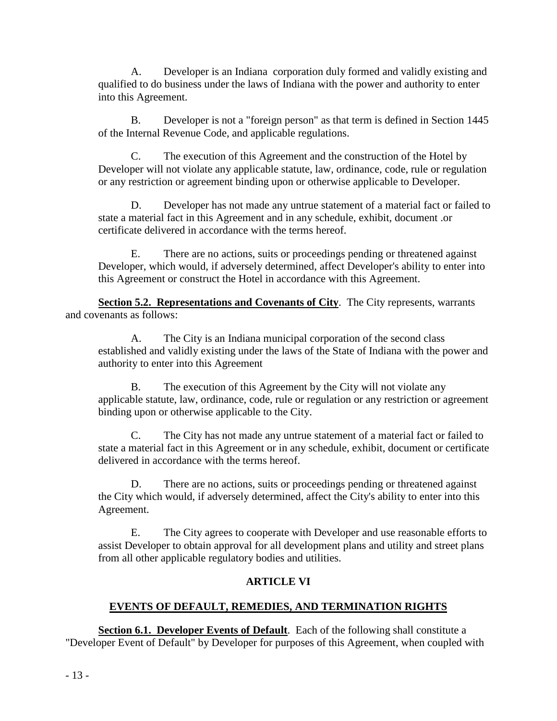A. Developer is an Indiana corporation duly formed and validly existing and qualified to do business under the laws of Indiana with the power and authority to enter into this Agreement.

B. Developer is not a "foreign person" as that term is defined in Section 1445 of the Internal Revenue Code, and applicable regulations.

C. The execution of this Agreement and the construction of the Hotel by Developer will not violate any applicable statute, law, ordinance, code, rule or regulation or any restriction or agreement binding upon or otherwise applicable to Developer.

D. Developer has not made any untrue statement of a material fact or failed to state a material fact in this Agreement and in any schedule, exhibit, document .or certificate delivered in accordance with the terms hereof.

E. There are no actions, suits or proceedings pending or threatened against Developer, which would, if adversely determined, affect Developer's ability to enter into this Agreement or construct the Hotel in accordance with this Agreement.

**Section 5.2. Representations and Covenants of City.** The City represents, warrants and covenants as follows:

A. The City is an Indiana municipal corporation of the second class established and validly existing under the laws of the State of Indiana with the power and authority to enter into this Agreement

B. The execution of this Agreement by the City will not violate any applicable statute, law, ordinance, code, rule or regulation or any restriction or agreement binding upon or otherwise applicable to the City.

C. The City has not made any untrue statement of a material fact or failed to state a material fact in this Agreement or in any schedule, exhibit, document or certificate delivered in accordance with the terms hereof.

D. There are no actions, suits or proceedings pending or threatened against the City which would, if adversely determined, affect the City's ability to enter into this Agreement.

E. The City agrees to cooperate with Developer and use reasonable efforts to assist Developer to obtain approval for all development plans and utility and street plans from all other applicable regulatory bodies and utilities.

## **ARTICLE VI**

## **EVENTS OF DEFAULT, REMEDIES, AND TERMINATION RIGHTS**

**Section 6.1. Developer Events of Default**. Each of the following shall constitute a "Developer Event of Default" by Developer for purposes of this Agreement, when coupled with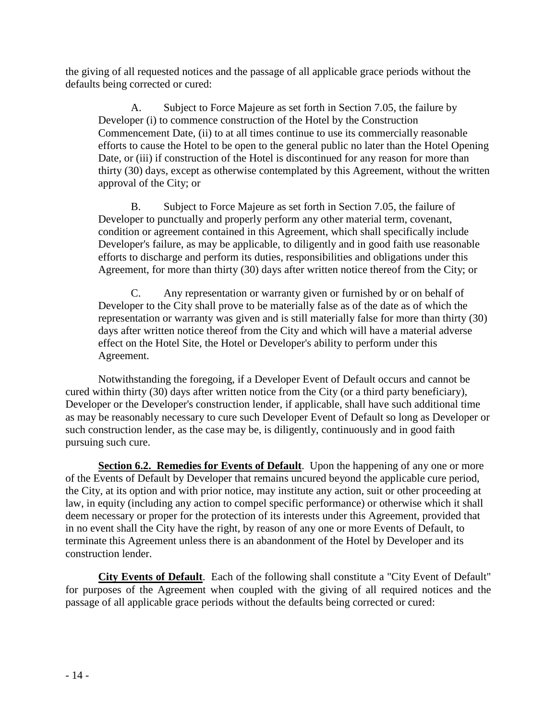the giving of all requested notices and the passage of all applicable grace periods without the defaults being corrected or cured:

A. Subject to Force Majeure as set forth in Section 7.05, the failure by Developer (i) to commence construction of the Hotel by the Construction Commencement Date, (ii) to at all times continue to use its commercially reasonable efforts to cause the Hotel to be open to the general public no later than the Hotel Opening Date, or (iii) if construction of the Hotel is discontinued for any reason for more than thirty (30) days, except as otherwise contemplated by this Agreement, without the written approval of the City; or

B. Subject to Force Majeure as set forth in Section 7.05, the failure of Developer to punctually and properly perform any other material term, covenant, condition or agreement contained in this Agreement, which shall specifically include Developer's failure, as may be applicable, to diligently and in good faith use reasonable efforts to discharge and perform its duties, responsibilities and obligations under this Agreement, for more than thirty (30) days after written notice thereof from the City; or

C. Any representation or warranty given or furnished by or on behalf of Developer to the City shall prove to be materially false as of the date as of which the representation or warranty was given and is still materially false for more than thirty (30) days after written notice thereof from the City and which will have a material adverse effect on the Hotel Site, the Hotel or Developer's ability to perform under this Agreement.

Notwithstanding the foregoing, if a Developer Event of Default occurs and cannot be cured within thirty (30) days after written notice from the City (or a third party beneficiary), Developer or the Developer's construction lender, if applicable, shall have such additional time as may be reasonably necessary to cure such Developer Event of Default so long as Developer or such construction lender, as the case may be, is diligently, continuously and in good faith pursuing such cure.

**Section 6.2. Remedies for Events of Default**. Upon the happening of any one or more of the Events of Default by Developer that remains uncured beyond the applicable cure period, the City, at its option and with prior notice, may institute any action, suit or other proceeding at law, in equity (including any action to compel specific performance) or otherwise which it shall deem necessary or proper for the protection of its interests under this Agreement, provided that in no event shall the City have the right, by reason of any one or more Events of Default, to terminate this Agreement unless there is an abandonment of the Hotel by Developer and its construction lender.

**City Events of Default**. Each of the following shall constitute a "City Event of Default" for purposes of the Agreement when coupled with the giving of all required notices and the passage of all applicable grace periods without the defaults being corrected or cured: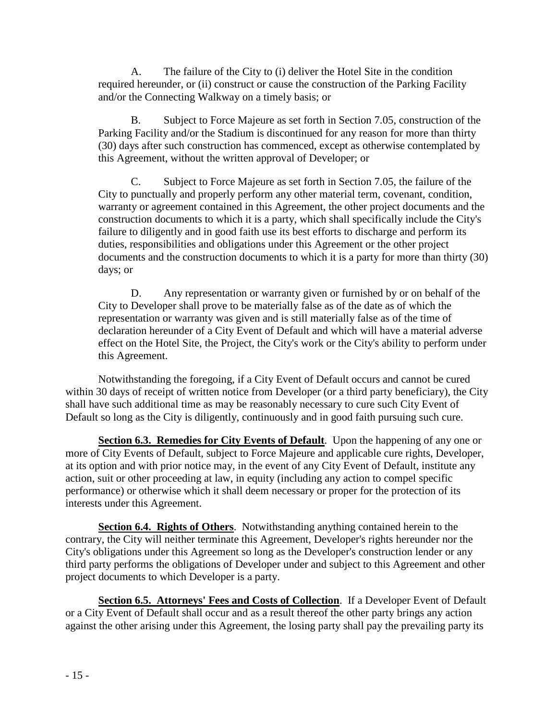A. The failure of the City to (i) deliver the Hotel Site in the condition required hereunder, or (ii) construct or cause the construction of the Parking Facility and/or the Connecting Walkway on a timely basis; or

B. Subject to Force Majeure as set forth in Section 7.05, construction of the Parking Facility and/or the Stadium is discontinued for any reason for more than thirty (30) days after such construction has commenced, except as otherwise contemplated by this Agreement, without the written approval of Developer; or

C. Subject to Force Majeure as set forth in Section 7.05, the failure of the City to punctually and properly perform any other material term, covenant, condition, warranty or agreement contained in this Agreement, the other project documents and the construction documents to which it is a party, which shall specifically include the City's failure to diligently and in good faith use its best efforts to discharge and perform its duties, responsibilities and obligations under this Agreement or the other project documents and the construction documents to which it is a party for more than thirty (30) days; or

D. Any representation or warranty given or furnished by or on behalf of the City to Developer shall prove to be materially false as of the date as of which the representation or warranty was given and is still materially false as of the time of declaration hereunder of a City Event of Default and which will have a material adverse effect on the Hotel Site, the Project, the City's work or the City's ability to perform under this Agreement.

Notwithstanding the foregoing, if a City Event of Default occurs and cannot be cured within 30 days of receipt of written notice from Developer (or a third party beneficiary), the City shall have such additional time as may be reasonably necessary to cure such City Event of Default so long as the City is diligently, continuously and in good faith pursuing such cure.

**Section 6.3. Remedies for City Events of Default**. Upon the happening of any one or more of City Events of Default, subject to Force Majeure and applicable cure rights, Developer, at its option and with prior notice may, in the event of any City Event of Default, institute any action, suit or other proceeding at law, in equity (including any action to compel specific performance) or otherwise which it shall deem necessary or proper for the protection of its interests under this Agreement.

**Section 6.4. Rights of Others**. Notwithstanding anything contained herein to the contrary, the City will neither terminate this Agreement, Developer's rights hereunder nor the City's obligations under this Agreement so long as the Developer's construction lender or any third party performs the obligations of Developer under and subject to this Agreement and other project documents to which Developer is a party.

Section **6.5. Attorneys' Fees and Costs of Collection**. If a Developer Event of Default or a City Event of Default shall occur and as a result thereof the other party brings any action against the other arising under this Agreement, the losing party shall pay the prevailing party its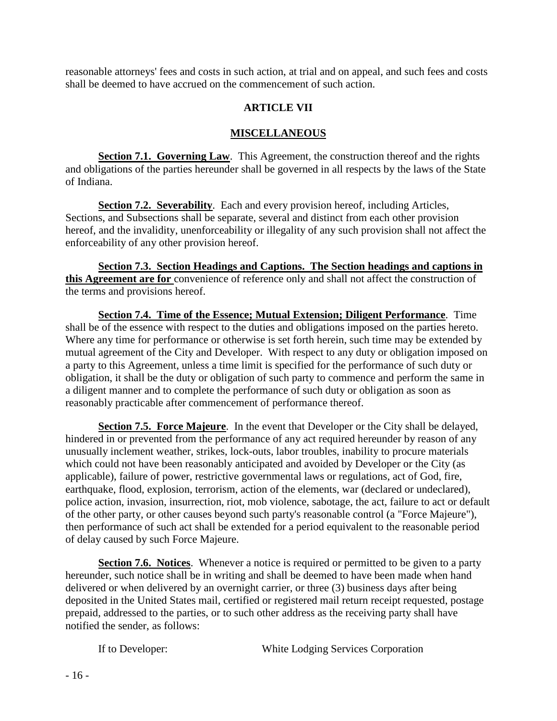reasonable attorneys' fees and costs in such action, at trial and on appeal, and such fees and costs shall be deemed to have accrued on the commencement of such action.

# **ARTICLE VII**

## **MISCELLANEOUS**

**Section 7.1. Governing Law.** This Agreement, the construction thereof and the rights and obligations of the parties hereunder shall be governed in all respects by the laws of the State of Indiana.

**Section 7.2. Severability**. Each and every provision hereof, including Articles, Sections, and Subsections shall be separate, several and distinct from each other provision hereof, and the invalidity, unenforceability or illegality of any such provision shall not affect the enforceability of any other provision hereof.

**Section 7.3. Section Headings and Captions. The Section headings and captions in this Agreement are for** convenience of reference only and shall not affect the construction of the terms and provisions hereof.

**Section 7.4. Time of the Essence; Mutual Extension; Diligent Performance**.Time shall be of the essence with respect to the duties and obligations imposed on the parties hereto. Where any time for performance or otherwise is set forth herein, such time may be extended by mutual agreement of the City and Developer. With respect to any duty or obligation imposed on a party to this Agreement, unless a time limit is specified for the performance of such duty or obligation, it shall be the duty or obligation of such party to commence and perform the same in a diligent manner and to complete the performance of such duty or obligation as soon as reasonably practicable after commencement of performance thereof.

**Section 7.5. Force Majeure**. In the event that Developer or the City shall be delayed, hindered in or prevented from the performance of any act required hereunder by reason of any unusually inclement weather, strikes, lock-outs, labor troubles, inability to procure materials which could not have been reasonably anticipated and avoided by Developer or the City (as applicable), failure of power, restrictive governmental laws or regulations, act of God, fire, earthquake, flood, explosion, terrorism, action of the elements, war (declared or undeclared), police action, invasion, insurrection, riot, mob violence, sabotage, the act, failure to act or default of the other party, or other causes beyond such party's reasonable control (a "Force Majeure"), then performance of such act shall be extended for a period equivalent to the reasonable period of delay caused by such Force Majeure.

**Section 7.6. Notices**. Whenever a notice is required or permitted to be given to a party hereunder, such notice shall be in writing and shall be deemed to have been made when hand delivered or when delivered by an overnight carrier, or three (3) business days after being deposited in the United States mail, certified or registered mail return receipt requested, postage prepaid, addressed to the parties, or to such other address as the receiving party shall have notified the sender, as follows:

If to Developer: White Lodging Services Corporation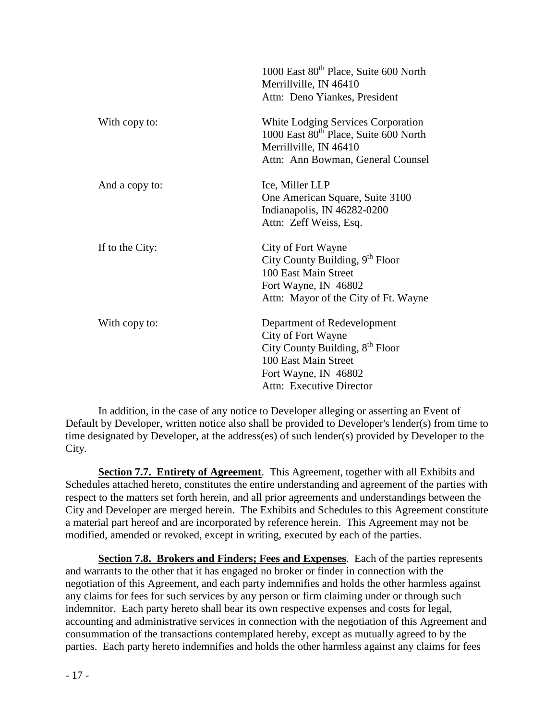|                 | 1000 East 80 <sup>th</sup> Place, Suite 600 North<br>Merrillville, IN 46410<br>Attn: Deno Yiankes, President                                                                 |
|-----------------|------------------------------------------------------------------------------------------------------------------------------------------------------------------------------|
| With copy to:   | White Lodging Services Corporation<br>1000 East 80 <sup>th</sup> Place, Suite 600 North<br>Merrillville, IN 46410<br>Attn: Ann Bowman, General Counsel                       |
| And a copy to:  | Ice, Miller LLP<br>One American Square, Suite 3100<br>Indianapolis, IN 46282-0200<br>Attn: Zeff Weiss, Esq.                                                                  |
| If to the City: | City of Fort Wayne<br>City County Building, 9 <sup>th</sup> Floor<br>100 East Main Street<br>Fort Wayne, IN 46802<br>Attn: Mayor of the City of Ft. Wayne                    |
| With copy to:   | Department of Redevelopment<br>City of Fort Wayne<br>City County Building, 8 <sup>th</sup> Floor<br>100 East Main Street<br>Fort Wayne, IN 46802<br>Attn: Executive Director |

In addition, in the case of any notice to Developer alleging or asserting an Event of Default by Developer, written notice also shall be provided to Developer's lender(s) from time to time designated by Developer, at the address(es) of such lender(s) provided by Developer to the City.

**Section 7.7. Entirety of Agreement**. This Agreement, together with all Exhibits and Schedules attached hereto, constitutes the entire understanding and agreement of the parties with respect to the matters set forth herein, and all prior agreements and understandings between the City and Developer are merged herein. The Exhibits and Schedules to this Agreement constitute a material part hereof and are incorporated by reference herein. This Agreement may not be modified, amended or revoked, except in writing, executed by each of the parties.

**Section 7.8. Brokers and Finders; Fees and Expenses**. Each of the parties represents and warrants to the other that it has engaged no broker or finder in connection with the negotiation of this Agreement, and each party indemnifies and holds the other harmless against any claims for fees for such services by any person or firm claiming under or through such indemnitor. Each party hereto shall bear its own respective expenses and costs for legal, accounting and administrative services in connection with the negotiation of this Agreement and consummation of the transactions contemplated hereby, except as mutually agreed to by the parties. Each party hereto indemnifies and holds the other harmless against any claims for fees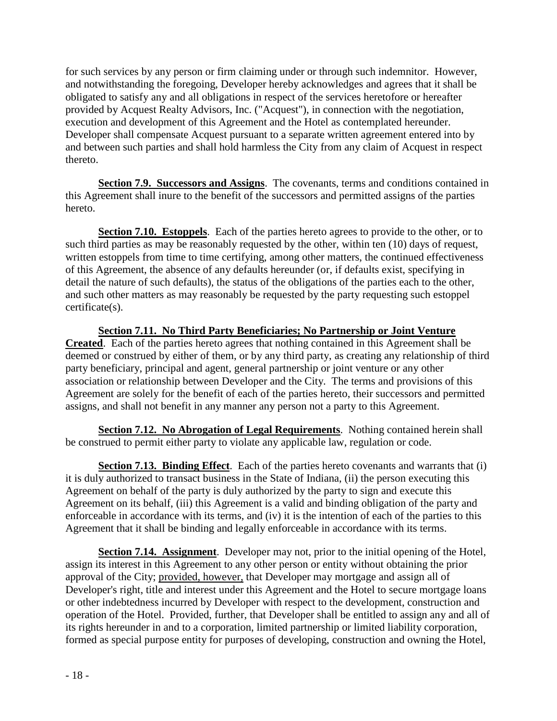for such services by any person or firm claiming under or through such indemnitor. However, and notwithstanding the foregoing, Developer hereby acknowledges and agrees that it shall be obligated to satisfy any and all obligations in respect of the services heretofore or hereafter provided by Acquest Realty Advisors, Inc. ("Acquest"), in connection with the negotiation, execution and development of this Agreement and the Hotel as contemplated hereunder. Developer shall compensate Acquest pursuant to a separate written agreement entered into by and between such parties and shall hold harmless the City from any claim of Acquest in respect thereto.

**Section 7.9. Successors and Assigns**. The covenants, terms and conditions contained in this Agreement shall inure to the benefit of the successors and permitted assigns of the parties hereto.

**Section 7.10. Estoppels**. Each of the parties hereto agrees to provide to the other, or to such third parties as may be reasonably requested by the other, within ten (10) days of request, written estoppels from time to time certifying, among other matters, the continued effectiveness of this Agreement, the absence of any defaults hereunder (or, if defaults exist, specifying in detail the nature of such defaults), the status of the obligations of the parties each to the other, and such other matters as may reasonably be requested by the party requesting such estoppel certificate(s).

**Section 7.11. No Third Party Beneficiaries; No Partnership or Joint Venture Created**. Each of the parties hereto agrees that nothing contained in this Agreement shall be deemed or construed by either of them, or by any third party, as creating any relationship of third party beneficiary, principal and agent, general partnership or joint venture or any other association or relationship between Developer and the City. The terms and provisions of this Agreement are solely for the benefit of each of the parties hereto, their successors and permitted assigns, and shall not benefit in any manner any person not a party to this Agreement.

**Section 7.12. No Abrogation of Legal Requirements**.Nothing contained herein shall be construed to permit either party to violate any applicable law, regulation or code.

**Section 7.13. Binding Effect.** Each of the parties hereto covenants and warrants that (i) it is duly authorized to transact business in the State of Indiana, (ii) the person executing this Agreement on behalf of the party is duly authorized by the party to sign and execute this Agreement on its behalf, (iii) this Agreement is a valid and binding obligation of the party and enforceable in accordance with its terms, and (iv) it is the intention of each of the parties to this Agreement that it shall be binding and legally enforceable in accordance with its terms.

**Section 7.14. Assignment**. Developer may not, prior to the initial opening of the Hotel, assign its interest in this Agreement to any other person or entity without obtaining the prior approval of the City; provided, however, that Developer may mortgage and assign all of Developer's right, title and interest under this Agreement and the Hotel to secure mortgage loans or other indebtedness incurred by Developer with respect to the development, construction and operation of the Hotel. Provided, further, that Developer shall be entitled to assign any and all of its rights hereunder in and to a corporation, limited partnership or limited liability corporation, formed as special purpose entity for purposes of developing, construction and owning the Hotel,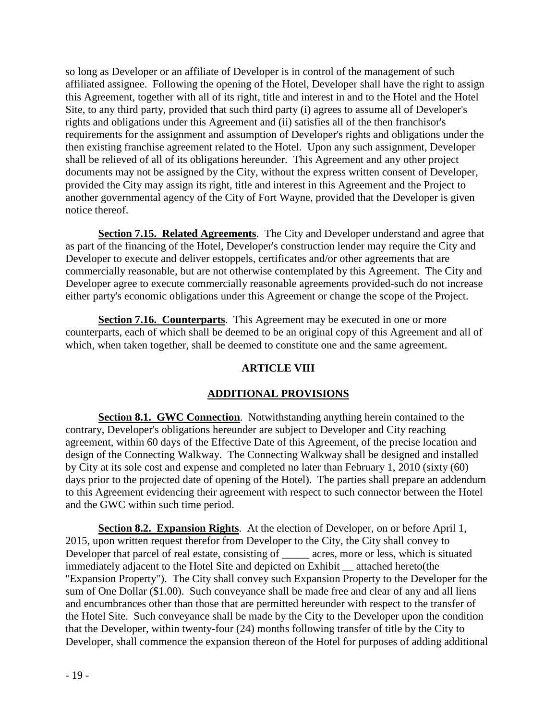so long as Developer or an affiliate of Developer is in control of the management of such affiliated assignee. Following the opening of the Hotel, Developer shall have the right to assign this Agreement, together with all of its right, title and interest in and to the Hotel and the Hotel Site, to any third party, provided that such third party (i) agrees to assume all of Developer's rights and obligations under this Agreement and (ii) satisfies all of the then franchisor's requirements for the assignment and assumption of Developer's rights and obligations under the then existing franchise agreement related to the Hotel. Upon any such assignment, Developer shall be relieved of all of its obligations hereunder. This Agreement and any other project documents may not be assigned by the City, without the express written consent of Developer, provided the City may assign its right, title and interest in this Agreement and the Project to another governmental agency of the City of Fort Wayne, provided that the Developer is given notice thereof.

**Section 7.15. Related Agreements**. The City and Developer understand and agree that as part of the financing of the Hotel, Developer's construction lender may require the City and Developer to execute and deliver estoppels, certificates and/or other agreements that are commercially reasonable, but are not otherwise contemplated by this Agreement. The City and Developer agree to execute commercially reasonable agreements provided-such do not increase either party's economic obligations under this Agreement or change the scope of the Project.

**Section 7.16. Counterparts.** This Agreement may be executed in one or more counterparts, each of which shall be deemed to be an original copy of this Agreement and all of which, when taken together, shall be deemed to constitute one and the same agreement.

## **ARTICLE VIII**

## **ADDITIONAL PROVISIONS**

**Section 8.1. GWC Connection**. Notwithstanding anything herein contained to the contrary, Developer's obligations hereunder are subject to Developer and City reaching agreement, within 60 days of the Effective Date of this Agreement, of the precise location and design of the Connecting Walkway. The Connecting Walkway shall be designed and installed by City at its sole cost and expense and completed no later than February 1, 2010 (sixty (60) days prior to the projected date of opening of the Hotel). The parties shall prepare an addendum to this Agreement evidencing their agreement with respect to such connector between the Hotel and the GWC within such time period.

**Section 8.2. Expansion Rights**. At the election of Developer, on or before April 1, 2015, upon written request therefor from Developer to the City, the City shall convey to Developer that parcel of real estate, consisting of \_\_\_\_\_ acres, more or less, which is situated immediately adjacent to the Hotel Site and depicted on Exhibit \_\_ attached hereto(the "Expansion Property"). The City shall convey such Expansion Property to the Developer for the sum of One Dollar (\$1.00). Such conveyance shall be made free and clear of any and all liens and encumbrances other than those that are permitted hereunder with respect to the transfer of the Hotel Site. Such conveyance shall be made by the City to the Developer upon the condition that the Developer, within twenty-four (24) months following transfer of title by the City to Developer, shall commence the expansion thereon of the Hotel for purposes of adding additional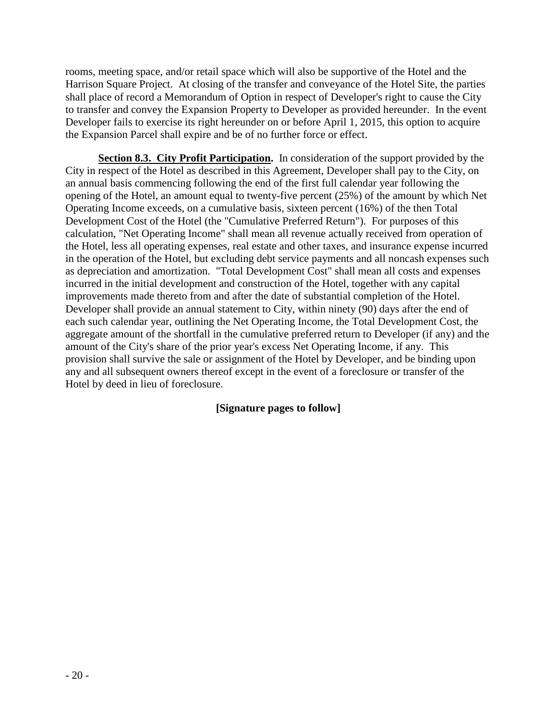rooms, meeting space, and/or retail space which will also be supportive of the Hotel and the Harrison Square Project. At closing of the transfer and conveyance of the Hotel Site, the parties shall place of record a Memorandum of Option in respect of Developer's right to cause the City to transfer and convey the Expansion Property to Developer as provided hereunder. In the event Developer fails to exercise its right hereunder on or before April 1, 2015, this option to acquire the Expansion Parcel shall expire and be of no further force or effect.

**Section 8.3. City Profit Participation.** In consideration of the support provided by the City in respect of the Hotel as described in this Agreement, Developer shall pay to the City, on an annual basis commencing following the end of the first full calendar year following the opening of the Hotel, an amount equal to twenty-five percent (25%) of the amount by which Net Operating Income exceeds, on a cumulative basis, sixteen percent (16%) of the then Total Development Cost of the Hotel (the "Cumulative Preferred Return"). For purposes of this calculation, "Net Operating Income" shall mean all revenue actually received from operation of the Hotel, less all operating expenses, real estate and other taxes, and insurance expense incurred in the operation of the Hotel, but excluding debt service payments and all noncash expenses such as depreciation and amortization. "Total Development Cost" shall mean all costs and expenses incurred in the initial development and construction of the Hotel, together with any capital improvements made thereto from and after the date of substantial completion of the Hotel. Developer shall provide an annual statement to City, within ninety (90) days after the end of each such calendar year, outlining the Net Operating Income, the Total Development Cost, the aggregate amount of the shortfall in the cumulative preferred return to Developer (if any) and the amount of the City's share of the prior year's excess Net Operating Income, if any. This provision shall survive the sale or assignment of the Hotel by Developer, and be binding upon any and all subsequent owners thereof except in the event of a foreclosure or transfer of the Hotel by deed in lieu of foreclosure.

## **[Signature pages to follow]**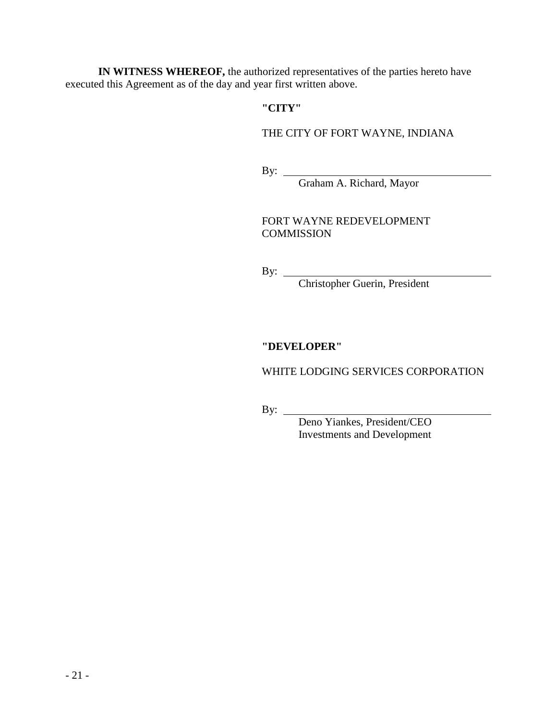**IN WITNESS WHEREOF,** the authorized representatives of the parties hereto have executed this Agreement as of the day and year first written above.

## **"CITY"**

#### THE CITY OF FORT WAYNE, INDIANA

By:

Graham A. Richard, Mayor

FORT WAYNE REDEVELOPMENT **COMMISSION** 

By:

Christopher Guerin, President

## **"DEVELOPER"**

#### WHITE LODGING SERVICES CORPORATION

By:

 Deno Yiankes, President/CEO Investments and Development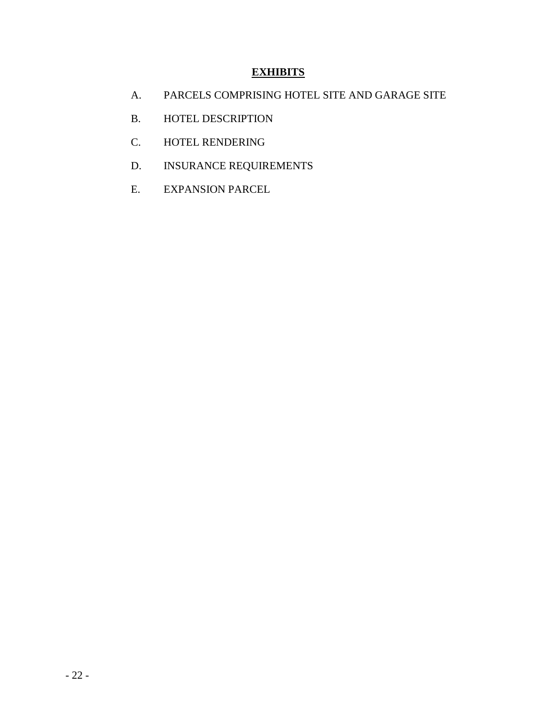# **EXHIBITS**

- A. PARCELS COMPRISING HOTEL SITE AND GARAGE SITE
- B. HOTEL DESCRIPTION
- C. HOTEL RENDERING
- D. INSURANCE REQUIREMENTS
- E. EXPANSION PARCEL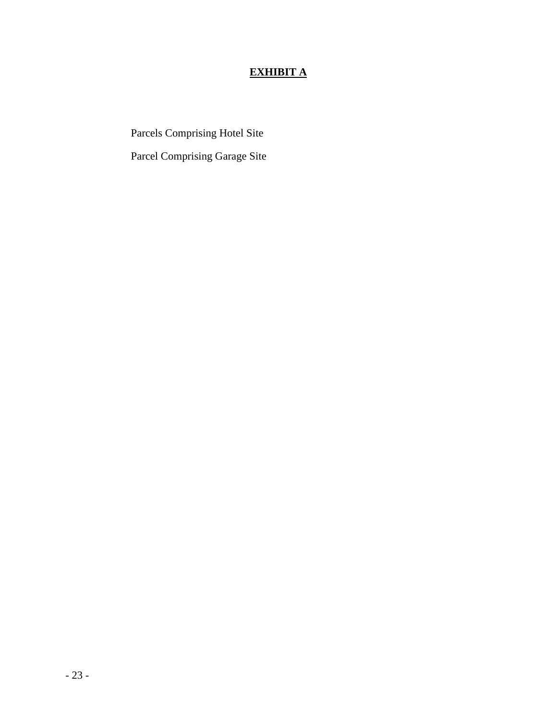# **EXHIBIT A**

Parcels Comprising Hotel Site

Parcel Comprising Garage Site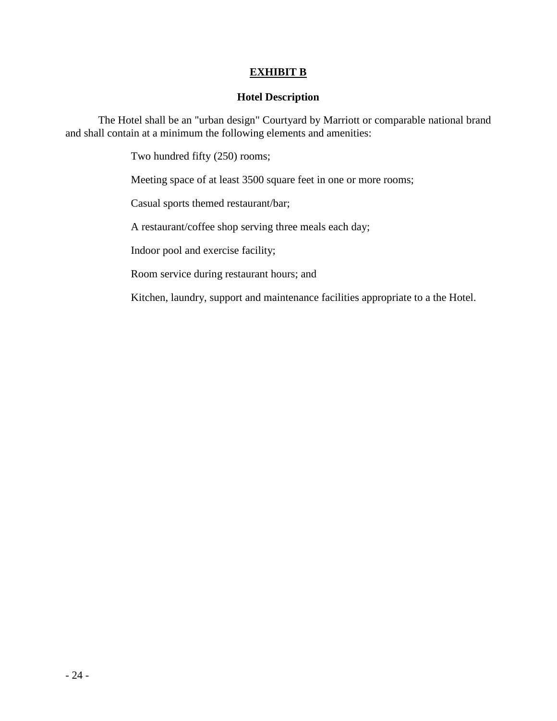## **EXHIBIT B**

#### **Hotel Description**

The Hotel shall be an "urban design" Courtyard by Marriott or comparable national brand and shall contain at a minimum the following elements and amenities:

Two hundred fifty (250) rooms;

Meeting space of at least 3500 square feet in one or more rooms;

Casual sports themed restaurant/bar;

A restaurant/coffee shop serving three meals each day;

Indoor pool and exercise facility;

Room service during restaurant hours; and

Kitchen, laundry, support and maintenance facilities appropriate to a the Hotel.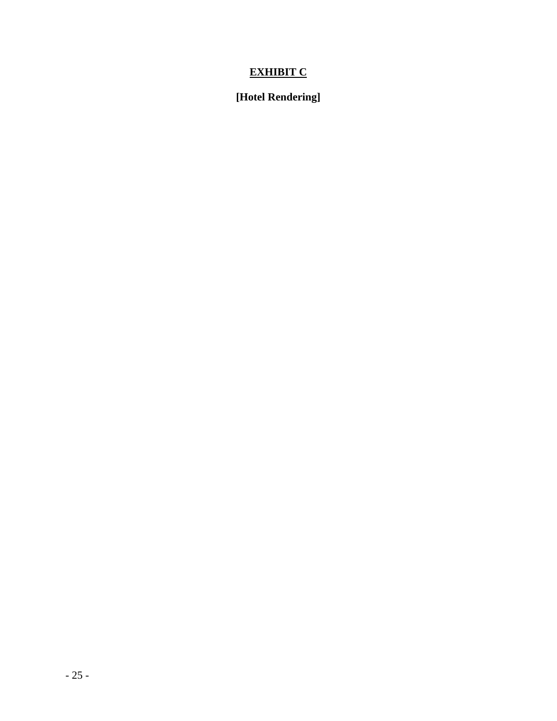# **EXHIBIT C**

# **[Hotel Rendering]**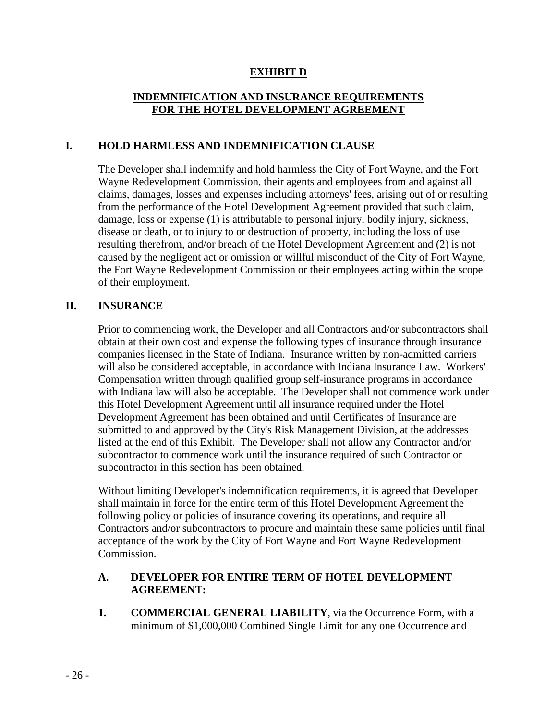## **EXHIBIT D**

## **INDEMNIFICATION AND INSURANCE REQUIREMENTS FOR THE HOTEL DEVELOPMENT AGREEMENT**

#### **I. HOLD HARMLESS AND INDEMNIFICATION CLAUSE**

The Developer shall indemnify and hold harmless the City of Fort Wayne, and the Fort Wayne Redevelopment Commission, their agents and employees from and against all claims, damages, losses and expenses including attorneys' fees, arising out of or resulting from the performance of the Hotel Development Agreement provided that such claim, damage, loss or expense (1) is attributable to personal injury, bodily injury, sickness, disease or death, or to injury to or destruction of property, including the loss of use resulting therefrom, and/or breach of the Hotel Development Agreement and (2) is not caused by the negligent act or omission or willful misconduct of the City of Fort Wayne, the Fort Wayne Redevelopment Commission or their employees acting within the scope of their employment.

#### **II. INSURANCE**

Prior to commencing work, the Developer and all Contractors and/or subcontractors shall obtain at their own cost and expense the following types of insurance through insurance companies licensed in the State of Indiana. Insurance written by non-admitted carriers will also be considered acceptable, in accordance with Indiana Insurance Law. Workers' Compensation written through qualified group self-insurance programs in accordance with Indiana law will also be acceptable. The Developer shall not commence work under this Hotel Development Agreement until all insurance required under the Hotel Development Agreement has been obtained and until Certificates of Insurance are submitted to and approved by the City's Risk Management Division, at the addresses listed at the end of this Exhibit. The Developer shall not allow any Contractor and/or subcontractor to commence work until the insurance required of such Contractor or subcontractor in this section has been obtained.

Without limiting Developer's indemnification requirements, it is agreed that Developer shall maintain in force for the entire term of this Hotel Development Agreement the following policy or policies of insurance covering its operations, and require all Contractors and/or subcontractors to procure and maintain these same policies until final acceptance of the work by the City of Fort Wayne and Fort Wayne Redevelopment Commission.

#### **A. DEVELOPER FOR ENTIRE TERM OF HOTEL DEVELOPMENT AGREEMENT:**

**1. COMMERCIAL GENERAL LIABILITY**, via the Occurrence Form, with a minimum of \$1,000,000 Combined Single Limit for any one Occurrence and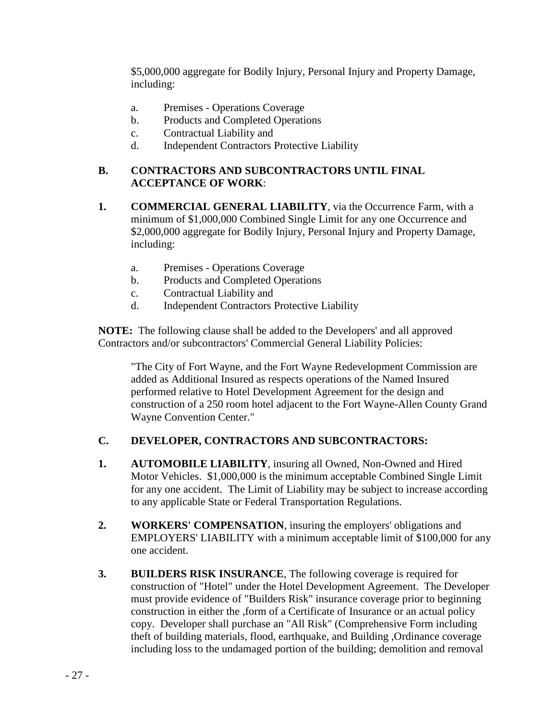\$5,000,000 aggregate for Bodily Injury, Personal Injury and Property Damage, including:

- a. Premises Operations Coverage
- b. Products and Completed Operations
- c. Contractual Liability and
- d. Independent Contractors Protective Liability

## **B. CONTRACTORS AND SUBCONTRACTORS UNTIL FINAL ACCEPTANCE OF WORK**:

- **1. COMMERCIAL GENERAL LIABILITY**, via the Occurrence Farm, with a minimum of \$1,000,000 Combined Single Limit for any one Occurrence and \$2,000,000 aggregate for Bodily Injury, Personal Injury and Property Damage, including:
	- a. Premises Operations Coverage
	- b. Products and Completed Operations
	- c. Contractual Liability and
	- d. Independent Contractors Protective Liability

 **NOTE:** The following clause shall be added to the Developers' and all approved Contractors and/or subcontractors' Commercial General Liability Policies:

"The City of Fort Wayne, and the Fort Wayne Redevelopment Commission are added as Additional Insured as respects operations of the Named Insured performed relative to Hotel Development Agreement for the design and construction of a 250 room hotel adjacent to the Fort Wayne-Allen County Grand Wayne Convention Center."

## **C. DEVELOPER, CONTRACTORS AND SUBCONTRACTORS:**

- **1. AUTOMOBILE LIABILITY**, insuring all Owned, Non-Owned and Hired Motor Vehicles. \$1,000,000 is the minimum acceptable Combined Single Limit for any one accident. The Limit of Liability may be subject to increase according to any applicable State or Federal Transportation Regulations.
- **2. WORKERS' COMPENSATION**, insuring the employers' obligations and EMPLOYERS' LIABILITY with a minimum acceptable limit of \$100,000 for any one accident.
- **3. BUILDERS RISK INSURANCE**, The following coverage is required for construction of "Hotel" under the Hotel Development Agreement. The Developer must provide evidence of "Builders Risk" insurance coverage prior to beginning construction in either the ,form of a Certificate of Insurance or an actual policy copy. Developer shall purchase an "All Risk" (Comprehensive Form including theft of building materials, flood, earthquake, and Building ,Ordinance coverage including loss to the undamaged portion of the building; demolition and removal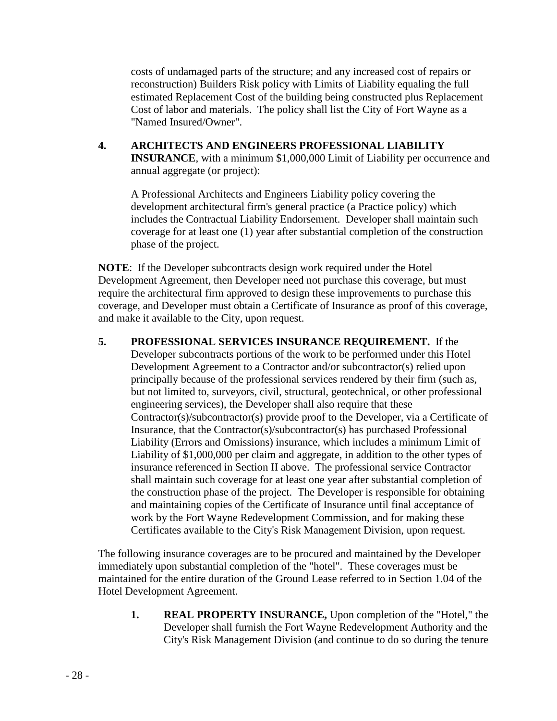costs of undamaged parts of the structure; and any increased cost of repairs or reconstruction) Builders Risk policy with Limits of Liability equaling the full estimated Replacement Cost of the building being constructed plus Replacement Cost of labor and materials. The policy shall list the City of Fort Wayne as a "Named Insured/Owner".

**4. ARCHITECTS AND ENGINEERS PROFESSIONAL LIABILITY INSURANCE**, with a minimum \$1,000,000 Limit of Liability per occurrence and annual aggregate (or project):

 A Professional Architects and Engineers Liability policy covering the development architectural firm's general practice (a Practice policy) which includes the Contractual Liability Endorsement. Developer shall maintain such coverage for at least one (1) year after substantial completion of the construction phase of the project.

 **NOTE**: If the Developer subcontracts design work required under the Hotel Development Agreement, then Developer need not purchase this coverage, but must require the architectural firm approved to design these improvements to purchase this coverage, and Developer must obtain a Certificate of Insurance as proof of this coverage, and make it available to the City, upon request.

**5. PROFESSIONAL SERVICES INSURANCE REQUIREMENT.** If the Developer subcontracts portions of the work to be performed under this Hotel Development Agreement to a Contractor and/or subcontractor(s) relied upon principally because of the professional services rendered by their firm (such as, but not limited to, surveyors, civil, structural, geotechnical, or other professional engineering services), the Developer shall also require that these Contractor(s)/subcontractor(s) provide proof to the Developer, via a Certificate of Insurance, that the Contractor(s)/subcontractor(s) has purchased Professional Liability (Errors and Omissions) insurance, which includes a minimum Limit of Liability of \$1,000,000 per claim and aggregate, in addition to the other types of insurance referenced in Section II above. The professional service Contractor shall maintain such coverage for at least one year after substantial completion of the construction phase of the project. The Developer is responsible for obtaining and maintaining copies of the Certificate of Insurance until final acceptance of work by the Fort Wayne Redevelopment Commission, and for making these Certificates available to the City's Risk Management Division, upon request.

 The following insurance coverages are to be procured and maintained by the Developer immediately upon substantial completion of the "hotel". These coverages must be maintained for the entire duration of the Ground Lease referred to in Section 1.04 of the Hotel Development Agreement.

**1. REAL PROPERTY INSURANCE,** Upon completion of the "Hotel," the Developer shall furnish the Fort Wayne Redevelopment Authority and the City's Risk Management Division (and continue to do so during the tenure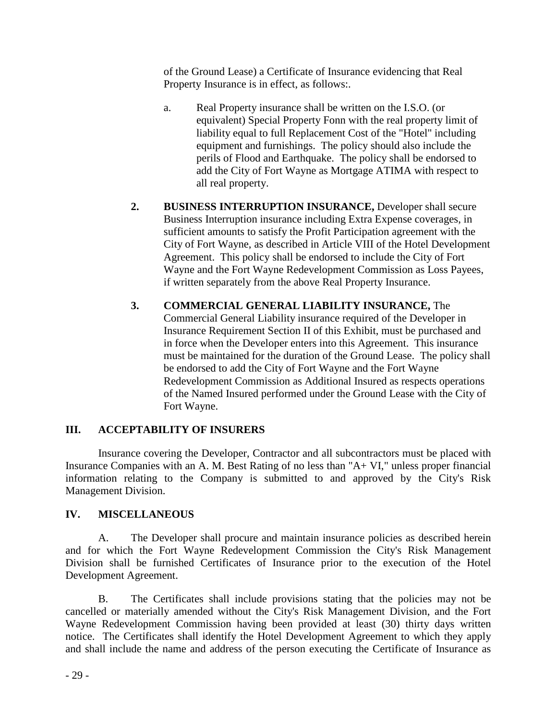of the Ground Lease) a Certificate of Insurance evidencing that Real Property Insurance is in effect, as follows:.

- a. Real Property insurance shall be written on the I.S.O. (or equivalent) Special Property Fonn with the real property limit of liability equal to full Replacement Cost of the "Hotel" including equipment and furnishings. The policy should also include the perils of Flood and Earthquake. The policy shall be endorsed to add the City of Fort Wayne as Mortgage ATIMA with respect to all real property.
- **2. BUSINESS INTERRUPTION INSURANCE,** Developer shall secure Business Interruption insurance including Extra Expense coverages, in sufficient amounts to satisfy the Profit Participation agreement with the City of Fort Wayne, as described in Article VIII of the Hotel Development Agreement. This policy shall be endorsed to include the City of Fort Wayne and the Fort Wayne Redevelopment Commission as Loss Payees, if written separately from the above Real Property Insurance.
- **3. COMMERCIAL GENERAL LIABILITY INSURANCE,** The Commercial General Liability insurance required of the Developer in Insurance Requirement Section II of this Exhibit, must be purchased and in force when the Developer enters into this Agreement. This insurance must be maintained for the duration of the Ground Lease. The policy shall be endorsed to add the City of Fort Wayne and the Fort Wayne Redevelopment Commission as Additional Insured as respects operations of the Named Insured performed under the Ground Lease with the City of Fort Wayne.

## **III. ACCEPTABILITY OF INSURERS**

Insurance covering the Developer, Contractor and all subcontractors must be placed with Insurance Companies with an A. M. Best Rating of no less than "A+ VI," unless proper financial information relating to the Company is submitted to and approved by the City's Risk Management Division.

## **IV. MISCELLANEOUS**

A. The Developer shall procure and maintain insurance policies as described herein and for which the Fort Wayne Redevelopment Commission the City's Risk Management Division shall be furnished Certificates of Insurance prior to the execution of the Hotel Development Agreement.

B. The Certificates shall include provisions stating that the policies may not be cancelled or materially amended without the City's Risk Management Division, and the Fort Wayne Redevelopment Commission having been provided at least (30) thirty days written notice. The Certificates shall identify the Hotel Development Agreement to which they apply and shall include the name and address of the person executing the Certificate of Insurance as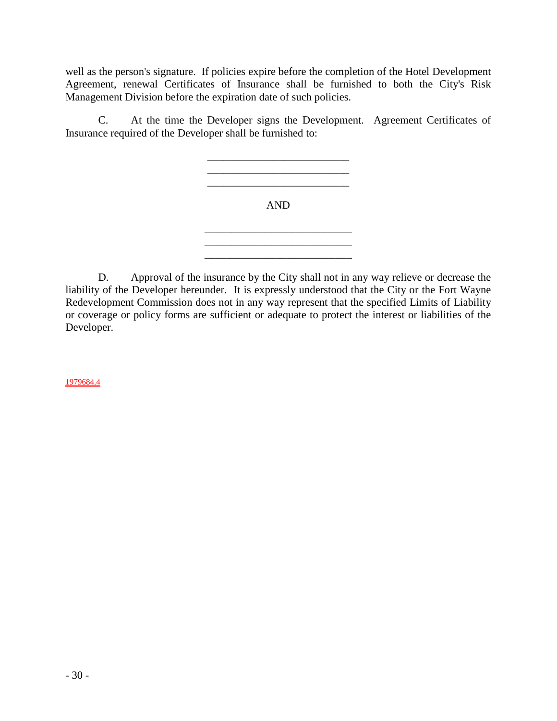well as the person's signature. If policies expire before the completion of the Hotel Development Agreement, renewal Certificates of Insurance shall be furnished to both the City's Risk Management Division before the expiration date of such policies.

C. At the time the Developer signs the Development. Agreement Certificates of Insurance required of the Developer shall be furnished to:



D. Approval of the insurance by the City shall not in any way relieve or decrease the liability of the Developer hereunder. It is expressly understood that the City or the Fort Wayne Redevelopment Commission does not in any way represent that the specified Limits of Liability or coverage or policy forms are sufficient or adequate to protect the interest or liabilities of the Developer.

1979684.4